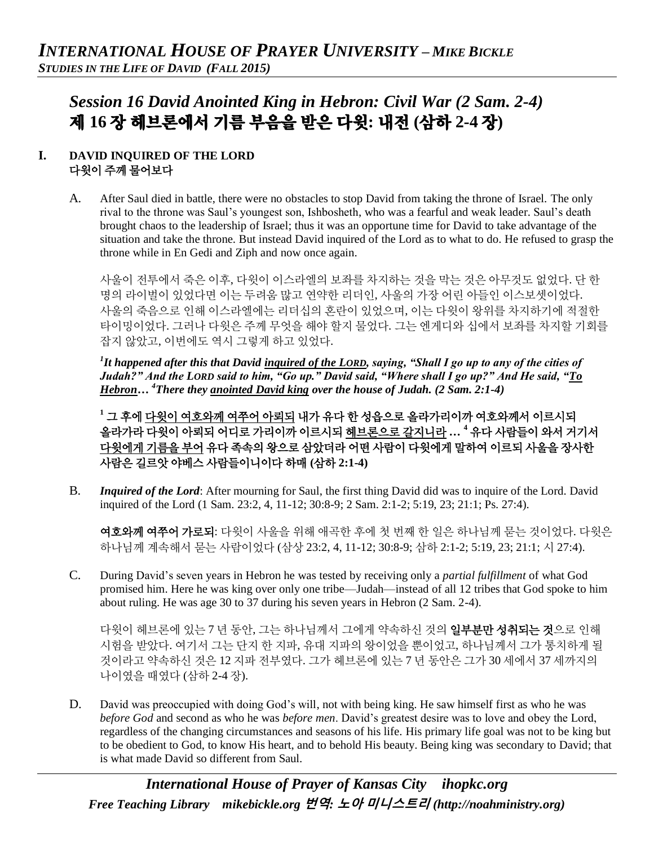# *Session 16 David Anointed King in Hebron: Civil War (2 Sam. 2-4)*  제 **16** 장 헤브론에서 기름 부음을 받은 다윗**:** 내전 **(**삼하 **2-4** 장**)**

# **I. DAVID INQUIRED OF THE LORD** 다윗이 주께 물어보다

A. After Saul died in battle, there were no obstacles to stop David from taking the throne of Israel. The only rival to the throne was Saul's youngest son, Ishbosheth, who was a fearful and weak leader. Saul's death brought chaos to the leadership of Israel; thus it was an opportune time for David to take advantage of the situation and take the throne. But instead David inquired of the Lord as to what to do. He refused to grasp the throne while in En Gedi and Ziph and now once again.

사울이 전투에서 죽은 이후, 다윗이 이스라엘의 보좌를 차지하는 것을 막는 것은 아무것도 없었다. 단 한 명의 라이벌이 있었다면 이는 두려움 많고 연약한 리더인, 사울의 가장 어린 아들인 이스보셋이었다. 사울의 죽음으로 인해 이스라엘에는 리더십의 혼란이 있었으며, 이는 다윗이 왕위를 차지하기에 적절한 타이밍이었다. 그러나 다윗은 주께 무엇을 해야 할지 물었다. 그는 엔게디와 십에서 보좌를 차지할 기회를 잡지 않았고, 이번에도 역시 그렇게 하고 있었다.

*1 It happened after this that David inquired of the LORD, saying, "Shall I go up to any of the cities of Judah?" And the LORD said to him, "Go up." David said, "Where shall I go up?" And He said, "To Hebron… <sup>4</sup>There they anointed David king over the house of Judah. (2 Sam. 2:1-4)*

**<sup>1</sup>** 그 후에 다윗이 여호와께 여쭈어 아뢰되 내가 유다 한 성읍으로 올라가리이까 여호와께서 이르시되 올라가라 다윗이 아뢰되 어디로 가리이까 이르시되 헤브론으로 갈지니라 **… <sup>4</sup>** 유다 사람들이 와서 거기서 다윗에게 기름을 부어 유다 족속의 왕으로 삼았더라 어떤 사람이 다윗에게 말하여 이르되 사울을 장사한 사람은 길르앗 야베스 사람들이니이다 하매 **(**삼하 **2:1-4)**

B. *Inquired of the Lord*: After mourning for Saul, the first thing David did was to inquire of the Lord. David inquired of the Lord (1 Sam. 23:2, 4, 11-12; 30:8-9; 2 Sam. 2:1-2; 5:19, 23; 21:1; Ps. 27:4).

여호와께 여쭈어 가로되: 다윗이 사울을 위해 애곡한 후에 첫 번째 한 일은 하나님께 묻는 것이었다. 다윗은 하나님께 계속해서 묻는 사람이었다 (삼상 23:2, 4, 11-12; 30:8-9; 삼하 2:1-2; 5:19, 23; 21:1; 시 27:4).

C. During David's seven years in Hebron he was tested by receiving only a *partial fulfillment* of what God promised him. Here he was king over only one tribe—Judah—instead of all 12 tribes that God spoke to him about ruling. He was age 30 to 37 during his seven years in Hebron (2 Sam. 2-4).

다윗이 헤브론에 있는 7 년 동안, 그는 하나님께서 그에게 약속하신 것의 **일부분만 성취되는 것**으로 인해 시험을 받았다. 여기서 그는 단지 한 지파, 유대 지파의 왕이었을 뿐이었고, 하나님께서 그가 통치하게 될 것이라고 약속하신 것은 12 지파 전부였다. 그가 헤브론에 있는 7 년 동안은 그가 30 세에서 37 세까지의 나이였을 때였다 (삼하 2-4 장).

D. David was preoccupied with doing God's will, not with being king. He saw himself first as who he was *before God* and second as who he was *before men*. David's greatest desire was to love and obey the Lord, regardless of the changing circumstances and seasons of his life. His primary life goal was not to be king but to be obedient to God, to know His heart, and to behold His beauty. Being king was secondary to David; that is what made David so different from Saul.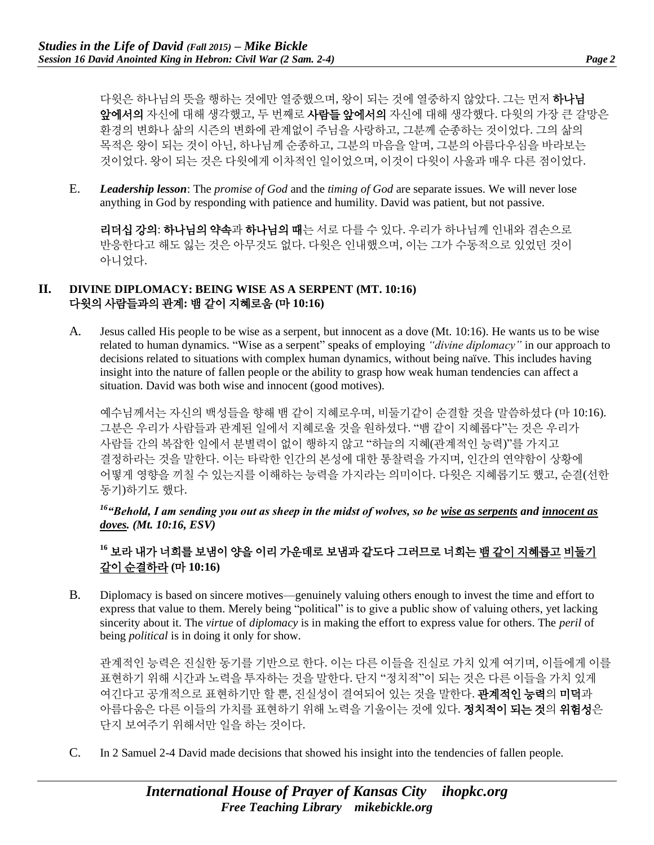다윗은 하나님의 뜻을 행하는 것에만 열중했으며, 왕이 되는 것에 열중하지 않았다. 그는 먼저 하나님 앞에서의 자신에 대해 생각했고, 두 번째로 사람들 앞에서의 자신에 대해 생각했다. 다윗의 가장 큰 갈망은 환경의 변화나 삶의 시즌의 변화에 관계없이 주님을 사랑하고, 그분께 순종하는 것이었다. 그의 삶의 목적은 왕이 되는 것이 아닌, 하나님께 순종하고, 그분의 마음을 알며, 그분의 아름다우심을 바라보는 것이었다. 왕이 되는 것은 다윗에게 이차적인 일이었으며, 이것이 다윗이 사울과 매우 다른 점이었다.

E. *Leadership lesson*: The *promise of God* and the *timing of God* are separate issues. We will never lose anything in God by responding with patience and humility. David was patient, but not passive.

리더십 강의: 하나님의 약속과 하나님의 때는 서로 다를 수 있다. 우리가 하나님께 인내와 겸손으로 반응한다고 해도 잃는 것은 아무것도 없다. 다윗은 인내했으며, 이는 그가 수동적으로 있었던 것이 아니었다.

### **II. DIVINE DIPLOMACY: BEING WISE AS A SERPENT (MT. 10:16)** 다윗의 사람들과의 관계**:** 뱀 같이 지혜로움 **(**마 **10:16)**

A. Jesus called His people to be wise as a serpent, but innocent as a dove (Mt. 10:16). He wants us to be wise related to human dynamics. "Wise as a serpent" speaks of employing *"divine diplomacy"* in our approach to decisions related to situations with complex human dynamics, without being naïve. This includes having insight into the nature of fallen people or the ability to grasp how weak human tendencies can affect a situation. David was both wise and innocent (good motives).

예수님께서는 자신의 백성들을 향해 뱀 같이 지혜로우며, 비둘기같이 순결할 것을 말씀하셨다 (마 10:16). 그분은 우리가 사람들과 관계된 일에서 지혜로울 것을 원하셨다. "뱀 같이 지혜롭다"는 것은 우리가 사람들 간의 복잡한 일에서 분별력이 없이 행하지 않고 "하늘의 지혜(관계적인 능력)"를 가지고 결정하라는 것을 말한다. 이는 타락한 인간의 본성에 대한 통찰력을 가지며, 인간의 연약함이 상황에 어떻게 영향을 끼칠 수 있는지를 이해하는 능력을 가지라는 의미이다. 다윗은 지혜롭기도 했고, 순결(선한 동기)하기도 했다.

## *<sup>16</sup>"Behold, I am sending you out as sheep in the midst of wolves, so be wise as serpents and innocent as doves. (Mt. 10:16, ESV)*

# **<sup>16</sup>** 보라 내가 너희를 보냄이 양을 이리 가운데로 보냄과 같도다 그러므로 너희는 뱀 같이 지혜롭고 비둘기 같이 순결하라 **(**마 **10:16)**

B. Diplomacy is based on sincere motives—genuinely valuing others enough to invest the time and effort to express that value to them. Merely being "political" is to give a public show of valuing others, yet lacking sincerity about it. The *virtue* of *diplomacy* is in making the effort to express value for others. The *peril* of being *political* is in doing it only for show.

관계적인 능력은 진실한 동기를 기반으로 한다. 이는 다른 이들을 진실로 가치 있게 여기며, 이들에게 이를 표현하기 위해 시간과 노력을 투자하는 것을 말한다. 단지 "정치적"이 되는 것은 다른 이들을 가치 있게 여긴다고 공개적으로 표현하기만 할 뿐, 진실성이 결여되어 있는 것을 말한다. **관계적인 능력**의 미덕과 아름다움은 다른 이들의 가치를 표현하기 위해 노력을 기울이는 것에 있다. 정치적이 되는 것의 위험성은 단지 보여주기 위해서만 일을 하는 것이다.

C. In 2 Samuel 2-4 David made decisions that showed his insight into the tendencies of fallen people.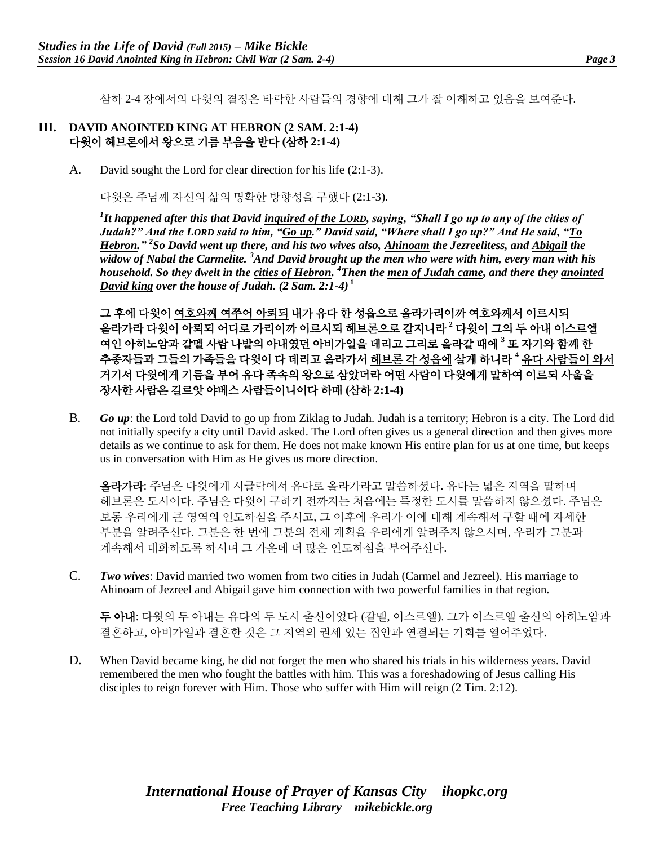삼하 2-4 장에서의 다윗의 결정은 타락한 사람들의 경향에 대해 그가 잘 이해하고 있음을 보여준다.

#### **III. DAVID ANOINTED KING AT HEBRON (2 SAM. 2:1-4)** 다윗이 헤브론에서 왕으로 기름 부음을 받다 **(**삼하 **2:1-4)**

A. David sought the Lord for clear direction for his life (2:1-3).

다윗은 주님께 자신의 삶의 명확한 방향성을 구했다 (2:1-3).

*1 It happened after this that David inquired of the LORD, saying, "Shall I go up to any of the cities of Judah?" And the LORD said to him, "Go up." David said, "Where shall I go up?" And He said, "To Hebron." <sup>2</sup> So David went up there, and his two wives also, Ahinoam the Jezreelitess, and Abigail the widow of Nabal the Carmelite. <sup>3</sup>And David brought up the men who were with him, every man with his household. So they dwelt in the cities of Hebron. <sup>4</sup>Then the men of Judah came, and there they anointed David king over the house of Judah. (2 Sam. 2:1-4)* **<sup>1</sup>**

그 후에 다윗이 여호와께 여쭈어 아뢰되 내가 유다 한 성읍으로 올라가리이까 여호와께서 이르시되 올라가라 다윗이 아뢰되 어디로 가리이까 이르시되 헤브론으로 갈지니라 **<sup>2</sup>** 다윗이 그의 두 아내 이스르엘 여인 아히노암과 갈멜 사람 나발의 아내였던 아비가일을 데리고 그리로 올라갈 때에 **<sup>3</sup>** 또 자기와 함께 한 추종자들과 그들의 가족들을 다윗이 다 데리고 올라가서 헤브론 각 성읍에 살게 하니라 **<sup>4</sup>** 유다 사람들이 와서 거기서 다윗에게 기름을 부어 유다 족속의 왕으로 삼았더라 어떤 사람이 다윗에게 말하여 이르되 사울을 장사한 사람은 길르앗 야베스 사람들이니이다 하매 **(**삼하 **2:1-4)**

B. *Go up*: the Lord told David to go up from Ziklag to Judah. Judah is a territory; Hebron is a city. The Lord did not initially specify a city until David asked. The Lord often gives us a general direction and then gives more details as we continue to ask for them. He does not make known His entire plan for us at one time, but keeps us in conversation with Him as He gives us more direction.

올라가라: 주님은 다윗에게 시글락에서 유다로 올라가라고 말씀하셨다. 유다는 넓은 지역을 말하며 헤브론은 도시이다. 주님은 다윗이 구하기 전까지는 처음에는 특정한 도시를 말씀하지 않으셨다. 주님은 보통 우리에게 큰 영역의 인도하심을 주시고, 그 이후에 우리가 이에 대해 계속해서 구할 때에 자세한 부분을 알려주신다. 그분은 한 번에 그분의 전체 계획을 우리에게 알려주지 않으시며, 우리가 그분과 계속해서 대화하도록 하시며 그 가운데 더 많은 인도하심을 부어주신다.

C. *Two wives*: David married two women from two cities in Judah (Carmel and Jezreel). His marriage to Ahinoam of Jezreel and Abigail gave him connection with two powerful families in that region.

두 아내: 다윗의 두 아내는 유다의 두 도시 출신이었다 (갈멜, 이스르엘). 그가 이스르엘 출신의 아히노암과 결혼하고, 아비가일과 결혼한 것은 그 지역의 권세 있는 집안과 연결되는 기회를 열어주었다.

D. When David became king, he did not forget the men who shared his trials in his wilderness years. David remembered the men who fought the battles with him. This was a foreshadowing of Jesus calling His disciples to reign forever with Him. Those who suffer with Him will reign (2 Tim. 2:12).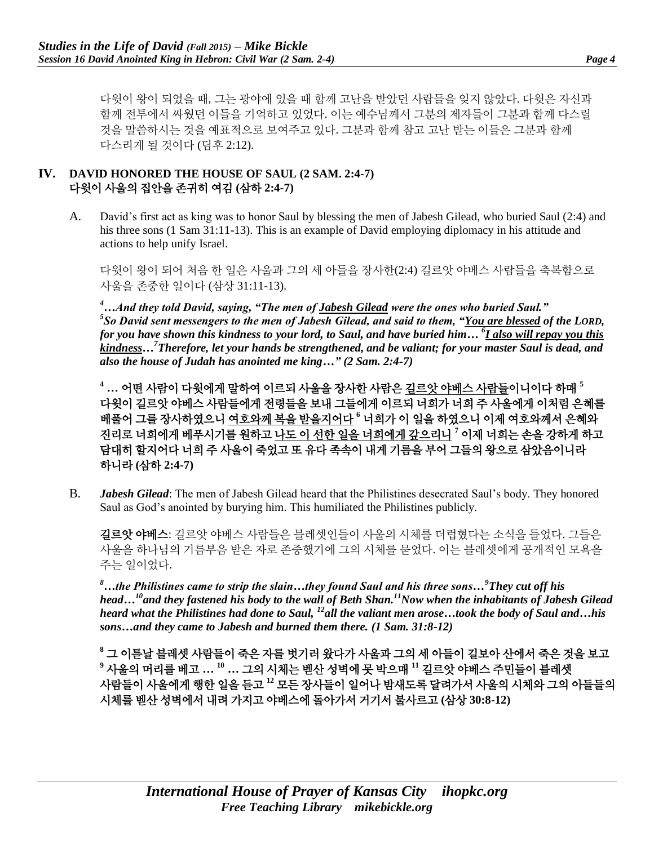다윗이 왕이 되었을 때, 그는 광야에 있을 때 함께 고난을 받았던 사람들을 잊지 않았다. 다윗은 자신과 함께 전투에서 싸웠던 이들을 기억하고 있었다. 이는 예수님께서 그분의 제자들이 그분과 함께 다스릴 것을 말씀하시는 것을 예표적으로 보여주고 있다. 그분과 함께 참고 고난 받는 이들은 그분과 함께 다스리게 될 것이다 (딤후 2:12).

### **IV. DAVID HONORED THE HOUSE OF SAUL (2 SAM. 2:4-7)** 다윗이 사울의 집안을 존귀히 여김 **(**삼하 **2:4-7)**

A. David's first act as king was to honor Saul by blessing the men of Jabesh Gilead, who buried Saul (2:4) and his three sons (1 Sam 31:11-13). This is an example of David employing diplomacy in his attitude and actions to help unify Israel.

다윗이 왕이 되어 처음 한 일은 사울과 그의 세 아들을 장사한(2:4) 길르앗 야베스 사람들을 축복함으로 사울을 존중한 일이다 (삼상 31:11-13).

*<sup>4</sup>…And they told David, saying, "The men of Jabesh Gilead were the ones who buried Saul." 5 So David sent messengers to the men of Jabesh Gilead, and said to them, "You are blessed of the LORD, for you have shown this kindness to your lord, to Saul, and have buried him… <sup>6</sup> I also will repay you this kindness…<sup>7</sup>Therefore, let your hands be strengthened, and be valiant; for your master Saul is dead, and also the house of Judah has anointed me king…" (2 Sam. 2:4-7)*

**<sup>4</sup> …** 어떤 사람이 다윗에게 말하여 이르되 사울을 장사한 사람은 길르앗 야베스 사람들이니이다 하매 **<sup>5</sup>** 다윗이 길르앗 야베스 사람들에게 전령들을 보내 그들에게 이르되 너희가 너희 주 사울에게 이처럼 은혜를 베풀어 그를 장사하였으니 여호와께 복을 받을지어다 **<sup>6</sup>** 너희가 이 일을 하였으니 이제 여호와께서 은혜와 진리로 너희에게 베푸시기를 원하고 나도 이 선한 일을 너희에게 갚으리니 **<sup>7</sup>** 이제 너희는 손을 강하게 하고 담대히 할지어다 너희 주 사울이 죽었고 또 유다 족속이 내게 기름을 부어 그들의 왕으로 삼았음이니라 하니라 **(**삼하 **2:4-7)**

B. *Jabesh Gilead*: The men of Jabesh Gilead heard that the Philistines desecrated Saul's body. They honored Saul as God's anointed by burying him. This humiliated the Philistines publicly.

길르앗 야베스: 길르앗 야베스 사람들은 블레셋인들이 사울의 시체를 더럽혔다는 소식을 들었다. 그들은 사울을 하나님의 기름부음 받은 자로 존중했기에 그의 시체를 묻었다. 이는 블레셋에게 공개적인 모욕을 주는 일이었다.

*<sup>8</sup>…the Philistines came to strip the slain…they found Saul and his three sons…<sup>9</sup>They cut off his head…<sup>10</sup>and they fastened his body to the wall of Beth Shan.<sup>11</sup>Now when the inhabitants of Jabesh Gilead heard what the Philistines had done to Saul, <sup>12</sup>all the valiant men arose…took the body of Saul and…his sons…and they came to Jabesh and burned them there. (1 Sam. 31:8-12)*

**<sup>8</sup>** 그 이튿날 블레셋 사람들이 죽은 자를 벗기러 왔다가 사울과 그의 세 아들이 길보아 산에서 죽은 것을 보고 **<sup>9</sup>** 사울의 머리를 베고 **… <sup>10</sup> …** 그의 시체는 벧산 성벽에 못 박으매 **<sup>11</sup>** 길르앗 야베스 주민들이 블레셋 사람들이 사울에게 행한 일을 듣고 **<sup>12</sup>** 모든 장사들이 일어나 밤새도록 달려가서 사울의 시체와 그의 아들들의 시체를 벧산 성벽에서 내려 가지고 야베스에 돌아가서 거기서 불사르고 **(**삼상 **30:8-12)**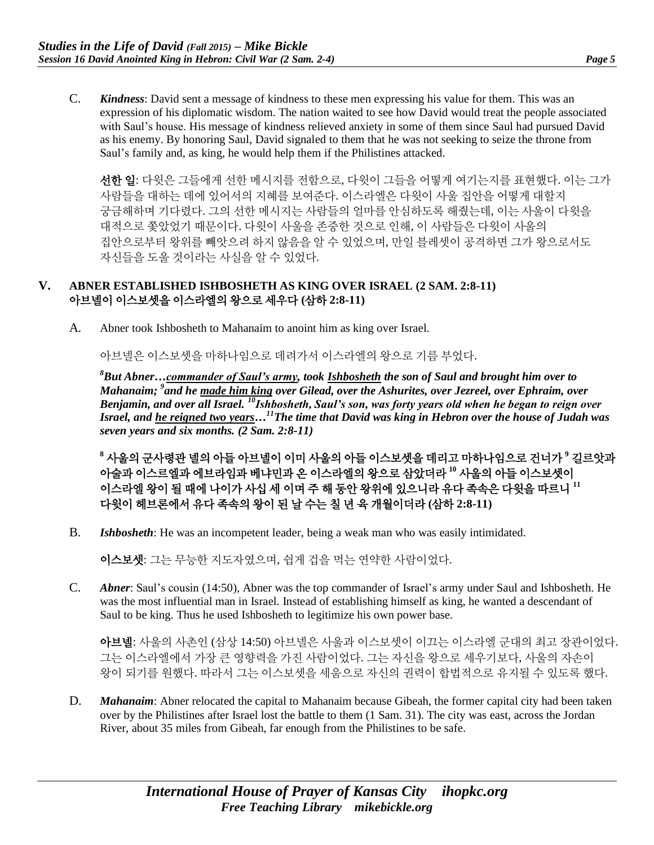C. *Kindness*: David sent a message of kindness to these men expressing his value for them. This was an expression of his diplomatic wisdom. The nation waited to see how David would treat the people associated with Saul's house. His message of kindness relieved anxiety in some of them since Saul had pursued David as his enemy. By honoring Saul, David signaled to them that he was not seeking to seize the throne from Saul's family and, as king, he would help them if the Philistines attacked.

선한 일: 다윗은 그들에게 선한 메시지를 전함으로, 다윗이 그들을 어떻게 여기는지를 표현했다. 이는 그가 사람들을 대하는 데에 있어서의 지혜를 보여준다. 이스라엘은 다윗이 사울 집안을 어떻게 대할지 궁금해하며 기다렸다. 그의 선한 메시지는 사람들의 얼마를 안심하도록 해줬는데, 이는 사울이 다윗을 대적으로 쫓았었기 때문이다. 다윗이 사울을 존중한 것으로 인해, 이 사람들은 다윗이 사울의 집안으로부터 왕위를 빼앗으려 하지 않음을 알 수 있었으며, 만일 블레셋이 공격하면 그가 왕으로서도 자신들을 도울 것이라는 사실을 알 수 있었다.

### **V. ABNER ESTABLISHED ISHBOSHETH AS KING OVER ISRAEL (2 SAM. 2:8-11)** 아브넬이 이스보셋을 이스라엘의 왕으로 세우다 **(**삼하 **2:8-11)**

A. Abner took Ishbosheth to Mahanaim to anoint him as king over Israel.

아브넬은 이스보셋을 마하나임으로 데려가서 이스라엘의 왕으로 기름 부었다.

*<sup>8</sup>But Abner…commander of Saul's army, took Ishbosheth the son of Saul and brought him over to Mahanaim; <sup>9</sup> and he made him king over Gilead, over the Ashurites, over Jezreel, over Ephraim, over Benjamin, and over all Israel. <sup>10</sup>Ishbosheth, Saul's son, was forty years old when he began to reign over Israel, and he reigned two years…<sup>11</sup>The time that David was king in Hebron over the house of Judah was seven years and six months. (2 Sam. 2:8-11)*

**<sup>8</sup>** 사울의 군사령관 넬의 아들 아브넬이 이미 사울의 아들 이스보셋을 데리고 마하나임으로 건너가 **<sup>9</sup>** 길르앗과 아술과 이스르엘과 에브라임과 베냐민과 온 이스라엘의 왕으로 삼았더라 **<sup>10</sup>** 사울의 아들 이스보셋이 이스라엘 왕이 될 때에 나이가 사십 세 이며 주 해 동안 왕위에 있으니라 유다 족속은 다윗을 따르니 **<sup>11</sup>** 다윗이 헤브론에서 유다 족속의 왕이 된 날 수는 칠 년 육 개월이더라 **(**삼하 **2:8-11)**

B. *Ishbosheth*: He was an incompetent leader, being a weak man who was easily intimidated.

이스보셋: 그는 무능한 지도자였으며, 쉽게 겁을 먹는 연약한 사람이었다.

C. *Abner*: Saul's cousin (14:50), Abner was the top commander of Israel's army under Saul and Ishbosheth. He was the most influential man in Israel. Instead of establishing himself as king, he wanted a descendant of Saul to be king. Thus he used Ishbosheth to legitimize his own power base.

아브넬: 사울의 사촌인 (삼상 14:50) 아브넬은 사울과 이스보셋이 이끄는 이스라엘 군대의 최고 장관이었다. 그는 이스라엘에서 가장 큰 영향력을 가진 사람이었다. 그는 자신을 왕으로 세우기보다, 사울의 자손이 왕이 되기를 원했다. 따라서 그는 이스보셋을 세움으로 자신의 권력이 합법적으로 유지될 수 있도록 했다.

D. *Mahanaim*: Abner relocated the capital to Mahanaim because Gibeah, the former capital city had been taken over by the Philistines after Israel lost the battle to them (1 Sam. 31). The city was east, across the Jordan River, about 35 miles from Gibeah, far enough from the Philistines to be safe.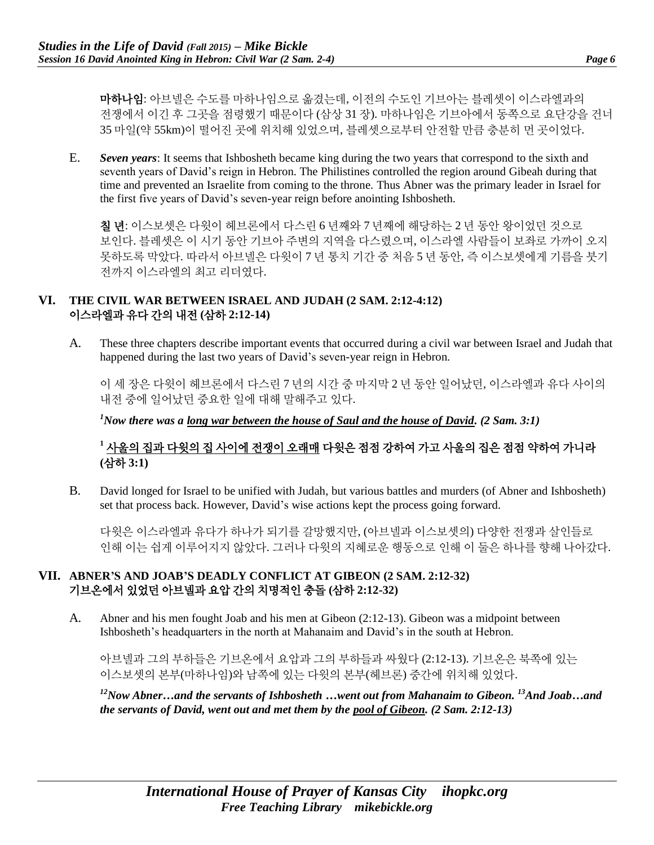마하나임: 아브넬은 수도를 마하나임으로 옮겼는데, 이전의 수도인 기브아는 블레셋이 이스라엘과의 전쟁에서 이긴 후 그곳을 점령했기 때문이다 (삼상 31 장). 마하나임은 기브아에서 동쪽으로 요단강을 건너 35 마일(약 55km)이 떨어진 곳에 위치해 있었으며, 블레셋으로부터 안전할 만큼 충분히 먼 곳이었다.

E. *Seven years*: It seems that Ishbosheth became king during the two years that correspond to the sixth and seventh years of David's reign in Hebron. The Philistines controlled the region around Gibeah during that time and prevented an Israelite from coming to the throne. Thus Abner was the primary leader in Israel for the first five years of David's seven-year reign before anointing Ishbosheth.

칠 년: 이스보셋은 다윗이 헤브론에서 다스린 6 년째와 7 년째에 해당하는 2 년 동안 왕이었던 것으로 보인다. 블레셋은 이 시기 동안 기브아 주변의 지역을 다스렸으며, 이스라엘 사람들이 보좌로 가까이 오지 못하도록 막았다. 따라서 아브넬은 다윗이 7 년 통치 기간 중 처음 5 년 동안, 즉 이스보셋에게 기름을 붓기 전까지 이스라엘의 최고 리더였다.

#### **VI. THE CIVIL WAR BETWEEN ISRAEL AND JUDAH (2 SAM. 2:12-4:12)** 이스라엘과 유다 간의 내전 **(**삼하 **2:12-14)**

A. These three chapters describe important events that occurred during a civil war between Israel and Judah that happened during the last two years of David's seven-year reign in Hebron.

이 세 장은 다윗이 헤브론에서 다스린 7 년의 시간 중 마지막 2 년 동안 일어났던, 이스라엘과 유다 사이의 내전 중에 일어났던 중요한 일에 대해 말해주고 있다.

*<sup>1</sup>Now there was a long war between the house of Saul and the house of David. (2 Sam. 3:1)*

# **<sup>1</sup>** 사울의 집과 다윗의 집 사이에 전쟁이 오래매 다윗은 점점 강하여 가고 사울의 집은 점점 약하여 가니라 **(**삼하 **3:1)**

B. David longed for Israel to be unified with Judah, but various battles and murders (of Abner and Ishbosheth) set that process back. However, David's wise actions kept the process going forward.

다윗은 이스라엘과 유다가 하나가 되기를 갈망했지만, (아브넬과 이스보셋의) 다양한 전쟁과 살인들로 인해 이는 쉽게 이루어지지 않았다. 그러나 다윗의 지혜로운 행동으로 인해 이 둘은 하나를 향해 나아갔다.

# **VII. ABNER'S AND JOAB'S DEADLY CONFLICT AT GIBEON (2 SAM. 2:12-32)** 기브온에서 있었던 아브넬과 요압 간의 치명적인 충돌 **(**삼하 **2:12-32)**

A. Abner and his men fought Joab and his men at Gibeon (2:12-13). Gibeon was a midpoint between Ishbosheth's headquarters in the north at Mahanaim and David's in the south at Hebron.

아브넬과 그의 부하들은 기브온에서 요압과 그의 부하들과 싸웠다 (2:12-13). 기브온은 북쪽에 있는 이스보셋의 본부(마하나임)와 남쪽에 있는 다윗의 본부(헤브론) 중간에 위치해 있었다.

*<sup>12</sup>Now Abner…and the servants of Ishbosheth …went out from Mahanaim to Gibeon. <sup>13</sup>And Joab…and the servants of David, went out and met them by the pool of Gibeon. (2 Sam. 2:12-13)*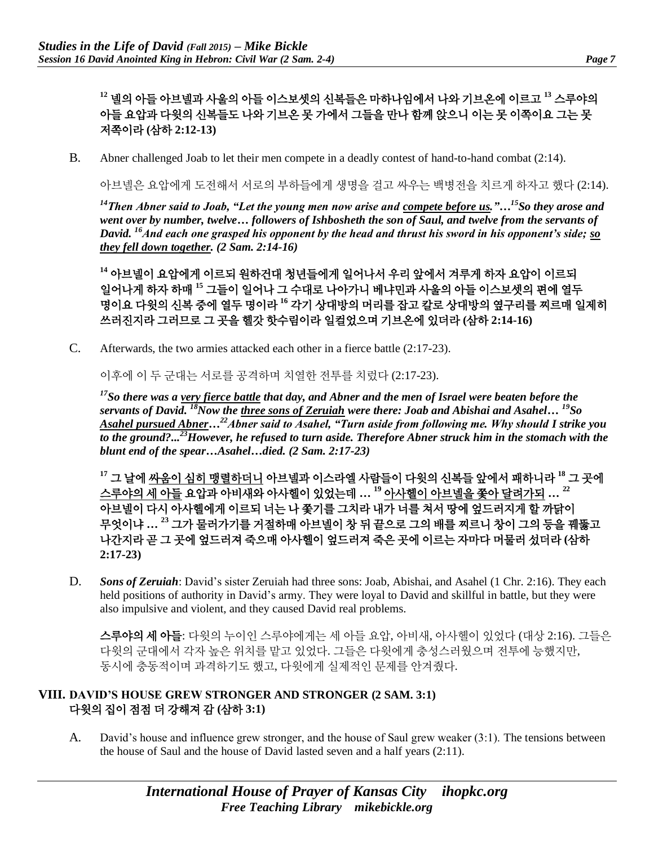**<sup>12</sup>** 넬의 아들 아브넬과 사울의 아들 이스보셋의 신복들은 마하나임에서 나와 기브온에 이르고 **<sup>13</sup>** 스루야의 아들 요압과 다윗의 신복들도 나와 기브온 못 가에서 그들을 만나 함께 앉으니 이는 못 이쪽이요 그는 못 저쪽이라 **(**삼하 **2:12-13)**

B. Abner challenged Joab to let their men compete in a deadly contest of hand-to-hand combat (2:14).

아브넬은 요압에게 도전해서 서로의 부하들에게 생명을 걸고 싸우는 백병전을 치르게 하자고 했다 (2:14).

*<sup>14</sup>Then Abner said to Joab, "Let the young men now arise and compete before us."…<sup>15</sup>So they arose and went over by number, twelve… followers of Ishbosheth the son of Saul, and twelve from the servants of David. <sup>16</sup>And each one grasped his opponent by the head and thrust his sword in his opponent's side; so they fell down together. (2 Sam. 2:14-16)*

**<sup>14</sup>** 아브넬이 요압에게 이르되 원하건대 청년들에게 일어나서 우리 앞에서 겨루게 하자 요압이 이르되 일어나게 하자 하매 **<sup>15</sup>** 그들이 일어나 그 수대로 나아가니 베냐민과 사울의 아들 이스보셋의 편에 열두 명이요 다윗의 신복 중에 열두 명이라 **<sup>16</sup>** 각기 상대방의 머리를 잡고 칼로 상대방의 옆구리를 찌르매 일제히 쓰러진지라 그러므로 그 곳을 헬갓 핫수림이라 일컬었으며 기브온에 있더라 **(**삼하 **2:14-16)**

C. Afterwards, the two armies attacked each other in a fierce battle (2:17-23).

이후에 이 두 군대는 서로를 공격하며 치열한 전투를 치렀다 (2:17-23).

*<sup>17</sup>So there was a very fierce battle that day, and Abner and the men of Israel were beaten before the servants of David. <sup>18</sup>Now the three sons of Zeruiah were there: Joab and Abishai and Asahel… <sup>19</sup>So Asahel pursued Abner…<sup>22</sup>Abner said to Asahel, "Turn aside from following me. Why should I strike you to the ground?... <sup>23</sup>However, he refused to turn aside. Therefore Abner struck him in the stomach with the blunt end of the spear…Asahel…died. (2 Sam. 2:17-23)*

**<sup>17</sup>** 그 날에 싸움이 심히 맹렬하더니 아브넬과 이스라엘 사람들이 다윗의 신복들 앞에서 패하니라 **<sup>18</sup>** 그 곳에 스루야의 세 아들 요압과 아비새와 아사헬이 있었는데 **… <sup>19</sup>** 아사헬이 아브넬을 쫓아 달려가되 **… <sup>22</sup>** 아브넬이 다시 아사헬에게 이르되 너는 나 쫓기를 그치라 내가 너를 쳐서 땅에 엎드러지게 할 까닭이 무엇이냐 **… <sup>23</sup>** 그가 물러가기를 거절하매 아브넬이 창 뒤 끝으로 그의 배를 찌르니 창이 그의 등을 꿰뚫고 나간지라 곧 그 곳에 엎드러져 죽으매 아사헬이 엎드러져 죽은 곳에 이르는 자마다 머물러 섰더라 **(**삼하 **2:17-23)**

D. *Sons of Zeruiah*: David's sister Zeruiah had three sons: Joab, Abishai, and Asahel (1 Chr. 2:16). They each held positions of authority in David's army. They were loyal to David and skillful in battle, but they were also impulsive and violent, and they caused David real problems.

스루야의 세 아들: 다윗의 누이인 스루야에게는 세 아들 요압, 아비새, 아사헬이 있었다 (대상 2:16). 그들은 다윗의 군대에서 각자 높은 위치를 맡고 있었다. 그들은 다윗에게 충성스러웠으며 전투에 능했지만, 동시에 충동적이며 과격하기도 했고, 다윗에게 실제적인 문제를 안겨줬다.

### **VIII. DAVID'S HOUSE GREW STRONGER AND STRONGER (2 SAM. 3:1)** 다윗의 집이 점점 더 강해져 감 **(**삼하 **3:1)**

A. David's house and influence grew stronger, and the house of Saul grew weaker (3:1). The tensions between the house of Saul and the house of David lasted seven and a half years (2:11).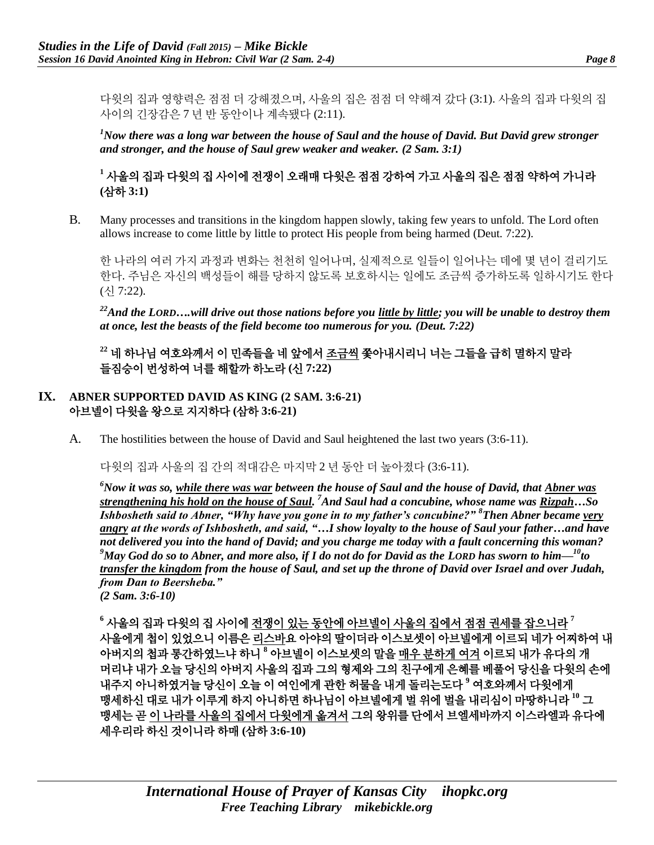다윗의 집과 영향력은 점점 더 강해졌으며, 사울의 집은 점점 더 약해져 갔다 (3:1). 사울의 집과 다윗의 집 사이의 긴장감은 7 년 반 동안이나 계속됐다 (2:11).

*<sup>1</sup>Now there was a long war between the house of Saul and the house of David. But David grew stronger and stronger, and the house of Saul grew weaker and weaker. (2 Sam. 3:1)*

# **<sup>1</sup>** 사울의 집과 다윗의 집 사이에 전쟁이 오래매 다윗은 점점 강하여 가고 사울의 집은 점점 약하여 가니라 **(**삼하 **3:1)**

B. Many processes and transitions in the kingdom happen slowly, taking few years to unfold. The Lord often allows increase to come little by little to protect His people from being harmed (Deut. 7:22).

한 나라의 여러 가지 과정과 변화는 천천히 일어나며, 실제적으로 일들이 일어나는 데에 몇 년이 걸리기도 한다. 주님은 자신의 백성들이 해를 당하지 않도록 보호하시는 일에도 조금씩 증가하도록 일하시기도 한다 (신 7:22).

<sup>22</sup>*And the LORD*…will drive out those nations before you little by little; you will be unable to destroy them *at once, lest the beasts of the field become too numerous for you. (Deut. 7:22)*

**<sup>22</sup>** 네 하나님 여호와께서 이 민족들을 네 앞에서 조금씩 쫓아내시리니 너는 그들을 급히 멸하지 말라 들짐승이 번성하여 너를 해할까 하노라 **(**신 **7:22)**

### **IX. ABNER SUPPORTED DAVID AS KING (2 SAM. 3:6-21)** 아브넬이 다윗을 왕으로 지지하다 **(**삼하 **3:6-21)**

A. The hostilities between the house of David and Saul heightened the last two years (3:6-11).

다윗의 집과 사울의 집 간의 적대감은 마지막 2 년 동안 더 높아졌다 (3:6-11).

*<sup>6</sup>Now it was so, while there was war between the house of Saul and the house of David, that Abner was strengthening his hold on the house of Saul. <sup>7</sup>And Saul had a concubine, whose name was Rizpah…So Ishbosheth said to Abner, "Why have you gone in to my father's concubine?" <sup>8</sup>Then Abner became very angry at the words of Ishbosheth, and said, "…I show loyalty to the house of Saul your father…and have not delivered you into the hand of David; and you charge me today with a fault concerning this woman? <sup>9</sup>May God do so to Abner, and more also, if I do not do for David as the LORD has sworn to him—<sup>10</sup>to transfer the kingdom from the house of Saul, and set up the throne of David over Israel and over Judah, from Dan to Beersheba."*

*(2 Sam. 3:6-10)*

**<sup>6</sup>** 사울의 집과 다윗의 집 사이에 전쟁이 있는 동안에 아브넬이 사울의 집에서 점점 권세를 잡으니라 **<sup>7</sup>** 사울에게 첩이 있었으니 이름은 리스바요 아야의 딸이더라 이스보셋이 아브넬에게 이르되 네가 어찌하여 내 아버지의 첩과 통간하였느냐 하니 **<sup>8</sup>** 아브넬이 이스보셋의 말을 매우 분하게 여겨 이르되 내가 유다의 개 머리냐 내가 오늘 당신의 아버지 사울의 집과 그의 형제와 그의 친구에게 은혜를 베풀어 당신을 다윗의 손에 내주지 아니하였거늘 당신이 오늘 이 여인에게 관한 허물을 내게 돌리는도다 **<sup>9</sup>** 여호와께서 다윗에게 맹세하신 대로 내가 이루게 하지 아니하면 하나님이 아브넬에게 벌 위에 벌을 내리심이 마땅하니라 **<sup>10</sup>** 그 맹세는 곧 이 나라를 사울의 집에서 다윗에게 옮겨서 그의 왕위를 단에서 브엘세바까지 이스라엘과 유다에 세우리라 하신 것이니라 하매 **(**삼하 **3:6-10)**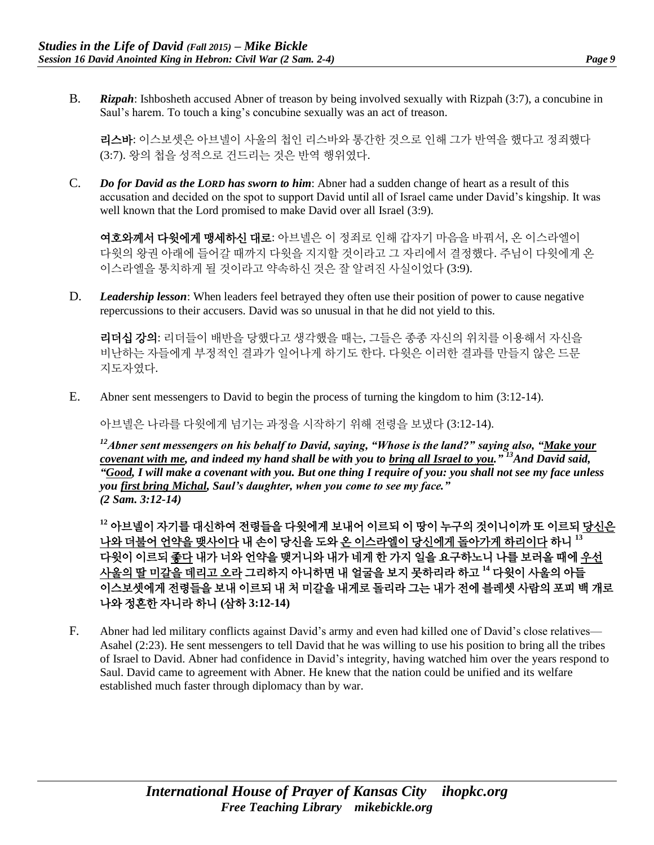B. *Rizpah*: Ishbosheth accused Abner of treason by being involved sexually with Rizpah (3:7), a concubine in Saul's harem. To touch a king's concubine sexually was an act of treason.

리스바: 이스보셋은 아브넬이 사울의 첩인 리스바와 통간한 것으로 인해 그가 반역을 했다고 정죄했다 (3:7). 왕의 첩을 성적으로 건드리는 것은 반역 행위였다.

C. *Do for David as the LORD has sworn to him*: Abner had a sudden change of heart as a result of this accusation and decided on the spot to support David until all of Israel came under David's kingship. It was well known that the Lord promised to make David over all Israel (3:9).

여호와께서 다윗에게 맹세하신 대로: 아브넬은 이 정죄로 인해 갑자기 마음을 바꿔서, 온 이스라엘이 다윗의 왕권 아래에 들어갈 때까지 다윗을 지지할 것이라고 그 자리에서 결정했다. 주님이 다윗에게 온 이스라엘을 통치하게 될 것이라고 약속하신 것은 잘 알려진 사실이었다 (3:9).

D. *Leadership lesson*: When leaders feel betrayed they often use their position of power to cause negative repercussions to their accusers. David was so unusual in that he did not yield to this.

리더십 강의: 리더들이 배반을 당했다고 생각했을 때는, 그들은 종종 자신의 위치를 이용해서 자신을 비난하는 자들에게 부정적인 결과가 일어나게 하기도 한다. 다윗은 이러한 결과를 만들지 않은 드문 지도자였다.

E. Abner sent messengers to David to begin the process of turning the kingdom to him (3:12-14).

아브넬은 나라를 다윗에게 넘기는 과정을 시작하기 위해 전령을 보냈다 (3:12-14).

*<sup>12</sup>Abner sent messengers on his behalf to David, saying, "Whose is the land?" saying also, "Make your covenant with me, and indeed my hand shall be with you to bring all Israel to you." <sup>13</sup>And David said, "Good, I will make a covenant with you. But one thing I require of you: you shall not see my face unless you first bring Michal, Saul's daughter, when you come to see my face." (2 Sam. 3:12-14)*

**<sup>12</sup>** 아브넬이 자기를 대신하여 전령들을 다윗에게 보내어 이르되 이 땅이 누구의 것이니이까 또 이르되 당신은 나와 더불어 언약을 맺사이다 내 손이 당신을 도와 온 이스라엘이 당신에게 돌아가게 하리이다 하니 **<sup>13</sup>** 다윗이 이르되 좋다 내가 너와 언약을 맺거니와 내가 네게 한 가지 일을 요구하노니 나를 보러올 때에 우선 사울의 딸 미갈을 데리고 오라 그리하지 아니하면 내 얼굴을 보지 못하리라 하고 **<sup>14</sup>** 다윗이 사울의 아들 이스보셋에게 전령들을 보내 이르되 내 처 미갈을 내게로 돌리라 그는 내가 전에 블레셋 사람의 포피 백 개로 나와 정혼한 자니라 하니 **(**삼하 **3:12-14)**

F. Abner had led military conflicts against David's army and even had killed one of David's close relatives— Asahel (2:23). He sent messengers to tell David that he was willing to use his position to bring all the tribes of Israel to David. Abner had confidence in David's integrity, having watched him over the years respond to Saul. David came to agreement with Abner. He knew that the nation could be unified and its welfare established much faster through diplomacy than by war.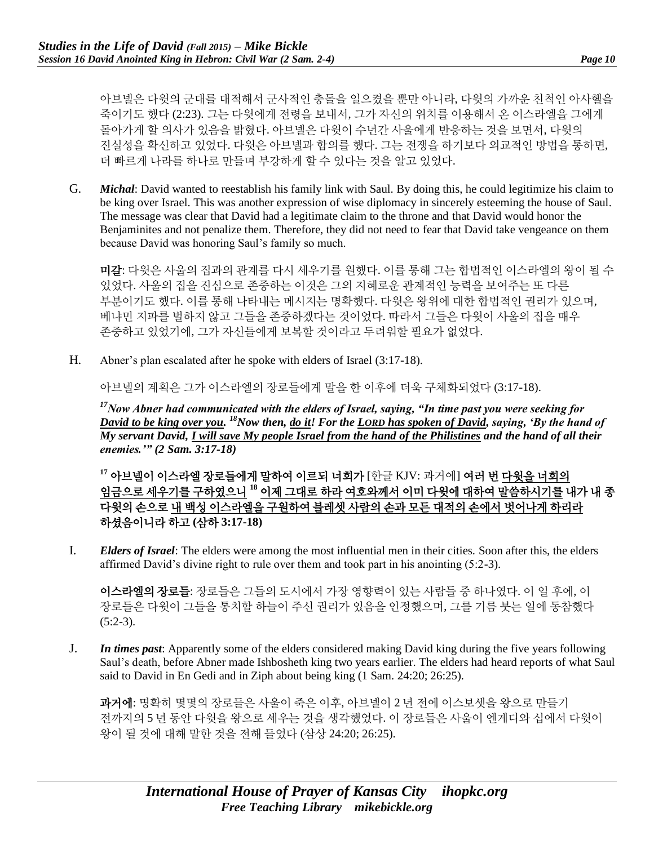아브넬은 다윗의 군대를 대적해서 군사적인 충돌을 일으켰을 뿐만 아니라, 다윗의 가까운 친척인 아사헬을 죽이기도 했다 (2:23). 그는 다윗에게 전령을 보내서, 그가 자신의 위치를 이용해서 온 이스라엘을 그에게 돌아가게 할 의사가 있음을 밝혔다. 아브넬은 다윗이 수년간 사울에게 반응하는 것을 보면서, 다윗의 진실성을 확신하고 있었다. 다윗은 아브넬과 합의를 했다. 그는 전쟁을 하기보다 외교적인 방법을 통하면, 더 빠르게 나라를 하나로 만들며 부강하게 할 수 있다는 것을 알고 있었다.

G. *Michal*: David wanted to reestablish his family link with Saul. By doing this, he could legitimize his claim to be king over Israel. This was another expression of wise diplomacy in sincerely esteeming the house of Saul. The message was clear that David had a legitimate claim to the throne and that David would honor the Benjaminites and not penalize them. Therefore, they did not need to fear that David take vengeance on them because David was honoring Saul's family so much.

미갈: 다윗은 사울의 집과의 관계를 다시 세우기를 원했다. 이를 통해 그는 합법적인 이스라엘의 왕이 될 수 있었다. 사울의 집을 진심으로 존중하는 이것은 그의 지혜로운 관계적인 능력을 보여주는 또 다른 부분이기도 했다. 이를 통해 나타내는 메시지는 명확했다. 다윗은 왕위에 대한 합법적인 권리가 있으며, 베냐민 지파를 벌하지 않고 그들을 존중하겠다는 것이었다. 따라서 그들은 다윗이 사울의 집을 매우 존중하고 있었기에, 그가 자신들에게 보복할 것이라고 두려워할 필요가 없었다.

H. Abner's plan escalated after he spoke with elders of Israel (3:17-18).

아브넬의 계획은 그가 이스라엘의 장로들에게 말을 한 이후에 더욱 구체화되었다 (3:17-18).

*<sup>17</sup>Now Abner had communicated with the elders of Israel, saying, "In time past you were seeking for David to be king over you. <sup>18</sup>Now then, do it! For the LORD has spoken of David, saying, 'By the hand of My servant David, I will save My people Israel from the hand of the Philistines and the hand of all their enemies.'" (2 Sam. 3:17-18)*

**<sup>17</sup>** 아브넬이 이스라엘 장로들에게 말하여 이르되 너희가 [한글 KJV: 과거에] 여러 번 다윗을 너희의 임금으로 세우기를 구하였으니 **<sup>18</sup>** 이제 그대로 하라 여호와께서 이미 다윗에 대하여 말씀하시기를 내가 내 종 다윗의 손으로 내 백성 이스라엘을 구원하여 블레셋 사람의 손과 모든 대적의 손에서 벗어나게 하리라 하셨음이니라 하고 **(**삼하 **3:17-18)**

I. *Elders of Israel*: The elders were among the most influential men in their cities. Soon after this, the elders affirmed David's divine right to rule over them and took part in his anointing (5:2-3).

이스라엘의 장로들: 장로들은 그들의 도시에서 가장 영향력이 있는 사람들 중 하나였다. 이 일 후에, 이 장로들은 다윗이 그들을 통치할 하늘이 주신 권리가 있음을 인정했으며, 그를 기름 붓는 일에 동참했다  $(5:2-3)$ .

J. *In times past*: Apparently some of the elders considered making David king during the five years following Saul's death, before Abner made Ishbosheth king two years earlier. The elders had heard reports of what Saul said to David in En Gedi and in Ziph about being king (1 Sam. 24:20; 26:25).

과거에: 명확히 몇몇의 장로들은 사울이 죽은 이후, 아브넬이 2 년 전에 이스보셋을 왕으로 만들기 전까지의 5 년 동안 다윗을 왕으로 세우는 것을 생각했었다. 이 장로들은 사울이 엔게디와 십에서 다윗이 왕이 될 것에 대해 말한 것을 전해 들었다 (삼상 24:20; 26:25).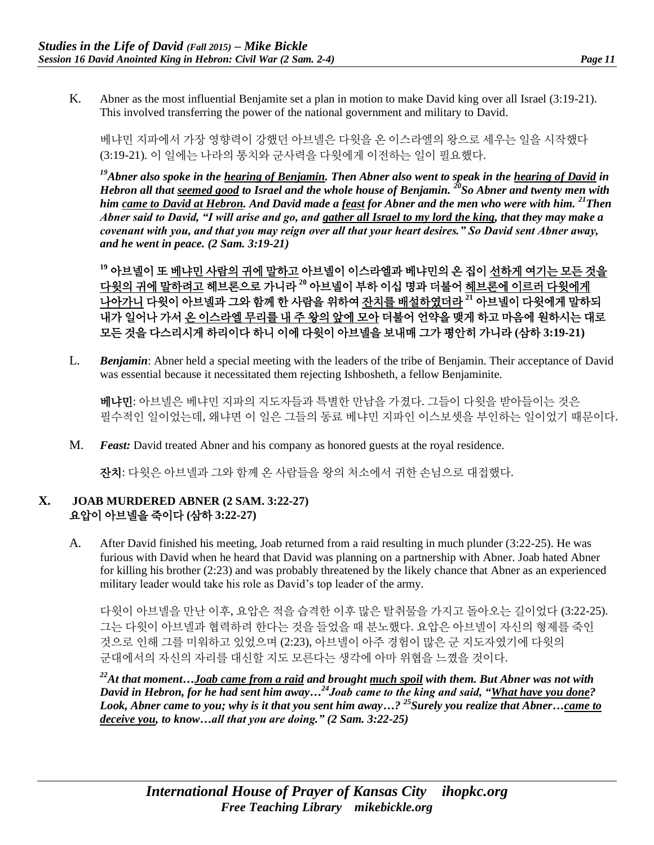K. Abner as the most influential Benjamite set a plan in motion to make David king over all Israel (3:19-21). This involved transferring the power of the national government and military to David.

베냐민 지파에서 가장 영향력이 강했던 아브넬은 다윗을 온 이스라엘의 왕으로 세우는 일을 시작했다 (3:19-21). 이 일에는 나라의 통치와 군사력을 다윗에게 이전하는 일이 필요했다.

*<sup>19</sup>Abner also spoke in the hearing of Benjamin. Then Abner also went to speak in the hearing of David in Hebron all that seemed good to Israel and the whole house of Benjamin. <sup>20</sup>So Abner and twenty men with him came to David at Hebron. And David made a feast for Abner and the men who were with him. <sup>21</sup>Then Abner said to David, "I will arise and go, and gather all Israel to my lord the king, that they may make a covenant with you, and that you may reign over all that your heart desires." So David sent Abner away, and he went in peace. (2 Sam. 3:19-21)*

**<sup>19</sup>** 아브넬이 또 베냐민 사람의 귀에 말하고 아브넬이 이스라엘과 베냐민의 온 집이 선하게 여기는 모든 것을 다윗의 귀에 말하려고 헤브론으로 가니라 **<sup>20</sup>** 아브넬이 부하 이십 명과 더불어 헤브론에 이르러 다윗에게 나아가니 다윗이 아브넬과 그와 함께 한 사람을 위하여 잔치를 배설하였더라 **<sup>21</sup>** 아브넬이 다윗에게 말하되 내가 일어나 가서 온 이스라엘 무리를 내 주 왕의 앞에 모아 더불어 언약을 맺게 하고 마음에 원하시는 대로 모든 것을 다스리시게 하리이다 하니 이에 다윗이 아브넬을 보내매 그가 평안히 가니라 **(**삼하 **3:19-21)**

L. *Benjamin*: Abner held a special meeting with the leaders of the tribe of Benjamin. Their acceptance of David was essential because it necessitated them rejecting Ishbosheth, a fellow Benjaminite.

베냐민: 아브넬은 베냐민 지파의 지도자들과 특별한 만남을 가졌다. 그들이 다윗을 받아들이는 것은 필수적인 일이었는데, 왜냐면 이 일은 그들의 동료 베냐민 지파인 이스보셋을 부인하는 일이었기 때문이다.

M. *Feast:* David treated Abner and his company as honored guests at the royal residence.

잔치: 다윗은 아브넬과 그와 함께 온 사람들을 왕의 처소에서 귀한 손님으로 대접했다.

### **X. JOAB MURDERED ABNER (2 SAM. 3:22-27)** 요압이 아브넬을 죽이다 **(**삼하 **3:22-27)**

A. After David finished his meeting, Joab returned from a raid resulting in much plunder (3:22-25). He was furious with David when he heard that David was planning on a partnership with Abner. Joab hated Abner for killing his brother (2:23) and was probably threatened by the likely chance that Abner as an experienced military leader would take his role as David's top leader of the army.

다윗이 아브넬을 만난 이후, 요압은 적을 습격한 이후 많은 탈취물을 가지고 돌아오는 길이었다 (3:22-25). 그는 다윗이 아브넬과 협력하려 한다는 것을 들었을 때 분노했다. 요압은 아브넬이 자신의 형제를 죽인 것으로 인해 그를 미워하고 있었으며 (2:23), 아브넬이 아주 경험이 많은 군 지도자였기에 다윗의 군대에서의 자신의 자리를 대신할 지도 모른다는 생각에 아마 위협을 느꼈을 것이다.

*<sup>22</sup>At that moment…Joab came from a raid and brought much spoil with them. But Abner was not with David in Hebron, for he had sent him away…<sup>24</sup>Joab came to the king and said, "What have you done? Look, Abner came to you; why is it that you sent him away…? <sup>25</sup>Surely you realize that Abner…came to deceive you, to know…all that you are doing." (2 Sam. 3:22-25)*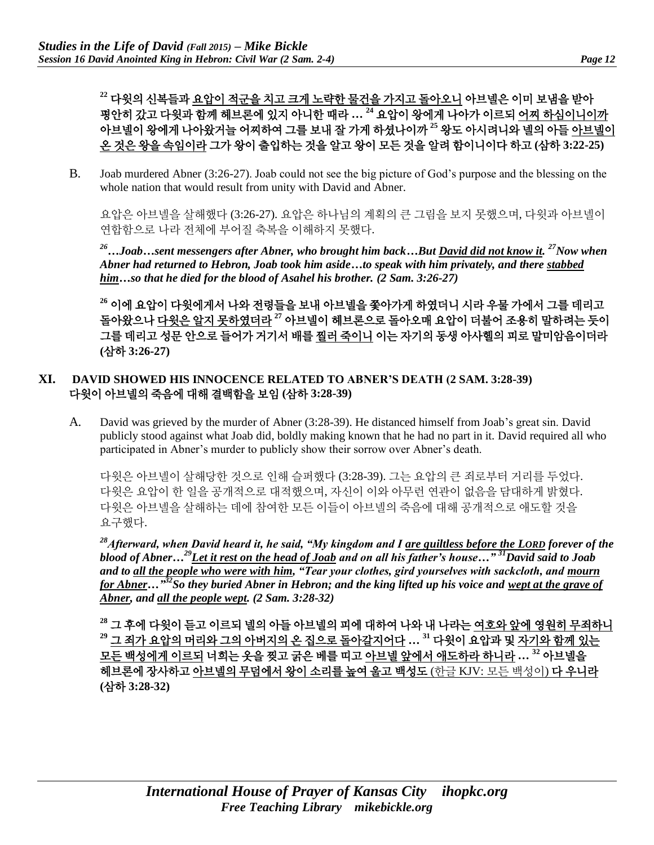**<sup>22</sup>** 다윗의 신복들과 요압이 적군을 치고 크게 노략한 물건을 가지고 돌아오니 아브넬은 이미 보냄을 받아 평안히 갔고 다윗과 함께 헤브론에 있지 아니한 때라 **… <sup>24</sup>** 요압이 왕에게 나아가 이르되 어찌 하심이니이까 아브넬이 왕에게 나아왔거늘 어찌하여 그를 보내 잘 가게 하셨나이까 **<sup>25</sup>** 왕도 아시려니와 넬의 아들 아브넬이 온 것은 왕을 속임이라 그가 왕이 출입하는 것을 알고 왕이 모든 것을 알려 함이니이다 하고 **(**삼하 **3:22-25)**

B. Joab murdered Abner (3:26-27). Joab could not see the big picture of God's purpose and the blessing on the whole nation that would result from unity with David and Abner.

요압은 아브넬을 살해했다 (3:26-27). 요압은 하나님의 계획의 큰 그림을 보지 못했으며, 다윗과 아브넬이 연합함으로 나라 전체에 부어질 축복을 이해하지 못했다.

*<sup>26</sup>…Joab…sent messengers after Abner, who brought him back…But David did not know it. <sup>27</sup>Now when Abner had returned to Hebron, Joab took him aside…to speak with him privately, and there stabbed him…so that he died for the blood of Asahel his brother. (2 Sam. 3:26-27)*

**<sup>26</sup>** 이에 요압이 다윗에게서 나와 전령들을 보내 아브넬을 쫓아가게 하였더니 시라 우물 가에서 그를 데리고 돌아왔으나 다윗은 알지 못하였더라 **<sup>27</sup>** 아브넬이 헤브론으로 돌아오매 요압이 더불어 조용히 말하려는 듯이 그를 데리고 성문 안으로 들어가 거기서 배를 찔러 죽이니 이는 자기의 동생 아사헬의 피로 말미암음이더라 **(**삼하 **3:26-27)**

### **XI. DAVID SHOWED HIS INNOCENCE RELATED TO ABNER'S DEATH (2 SAM. 3:28-39)** 다윗이 아브넬의 죽음에 대해 결백함을 보임 **(**삼하 **3:28-39)**

A. David was grieved by the murder of Abner (3:28-39). He distanced himself from Joab's great sin. David publicly stood against what Joab did, boldly making known that he had no part in it. David required all who participated in Abner's murder to publicly show their sorrow over Abner's death.

다윗은 아브넬이 살해당한 것으로 인해 슬퍼했다 (3:28-39). 그는 요압의 큰 죄로부터 거리를 두었다. 다윗은 요압이 한 일을 공개적으로 대적했으며, 자신이 이와 아무런 연관이 없음을 담대하게 밝혔다. 다윗은 아브넬을 살해하는 데에 참여한 모든 이들이 아브넬의 죽음에 대해 공개적으로 애도할 것을 요구했다.

*<sup>28</sup>Afterward, when David heard it, he said, "My kingdom and I are guiltless before the LORD forever of the blood of Abner…<sup>29</sup>Let it rest on the head of Joab and on all his father's house…" <sup>31</sup>David said to Joab and to all the people who were with him, "Tear your clothes, gird yourselves with sackcloth, and mourn for Abner…" <sup>32</sup>So they buried Abner in Hebron; and the king lifted up his voice and wept at the grave of Abner, and all the people wept. (2 Sam. 3:28-32)*

**<sup>28</sup>** 그 후에 다윗이 듣고 이르되 넬의 아들 아브넬의 피에 대하여 나와 내 나라는 여호와 앞에 영원히 무죄하니 **<sup>29</sup>** 그 죄가 요압의 머리와 그의 아버지의 온 집으로 돌아갈지어다 **… <sup>31</sup>** 다윗이 요압과 및 자기와 함께 있는 모든 백성에게 이르되 너희는 옷을 찢고 굵은 베를 띠고 아브넬 앞에서 애도하라 하니라 **… <sup>32</sup>** 아브넬을 헤브론에 장사하고 아브넬의 무덤에서 왕이 소리를 높여 울고 백성도 (한글 KJV: 모든 백성이) 다 우니라 **(**삼하 **3:28-32)**